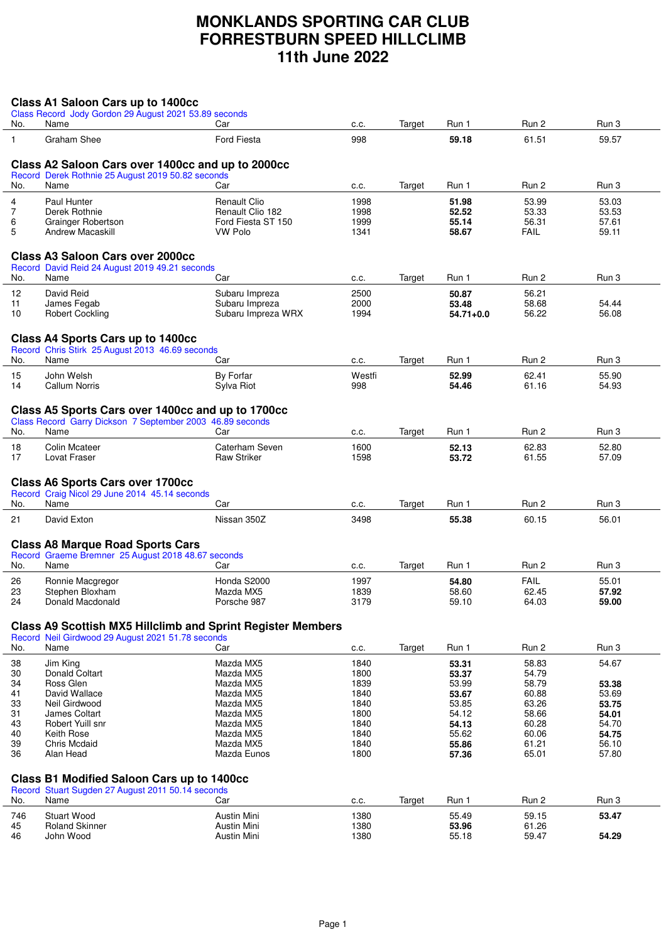## **MONKLANDS SPORTING CAR CLUB FORRESTBURN SPEED HILLCLIMB 11th June 2022**

|                   | Class A1 Saloon Cars up to 1400cc                                                                              |                                                                    |              |        |                        |                |                |
|-------------------|----------------------------------------------------------------------------------------------------------------|--------------------------------------------------------------------|--------------|--------|------------------------|----------------|----------------|
| No.               | Class Record Jody Gordon 29 August 2021 53.89 seconds<br>Name                                                  | Car                                                                | c.c.         | Target | Run 1                  | Run 2          | Run 3          |
|                   | Graham Shee                                                                                                    | <b>Ford Fiesta</b>                                                 | 998          |        | 59.18                  | 61.51          | 59.57          |
| $\mathbf{1}$      |                                                                                                                |                                                                    |              |        |                        |                |                |
|                   | Class A2 Saloon Cars over 1400cc and up to 2000cc                                                              |                                                                    |              |        |                        |                |                |
|                   | Record Derek Rothnie 25 August 2019 50.82 seconds                                                              |                                                                    |              |        |                        |                |                |
| No.               | Name                                                                                                           | Car                                                                | c.c.         | Target | Run 1                  | Run 2          | Run 3          |
| 4                 | Paul Hunter                                                                                                    | <b>Renault Clio</b>                                                | 1998         |        | 51.98                  | 53.99          | 53.03          |
| $\overline{7}$    | Derek Rothnie                                                                                                  | Renault Clio 182                                                   | 1998         |        | 52.52                  | 53.33          | 53.53          |
| 6<br>5            | Grainger Robertson<br><b>Andrew Macaskill</b>                                                                  | Ford Fiesta ST 150<br><b>VW Polo</b>                               | 1999<br>1341 |        | 55.14<br>58.67         | 56.31<br>FAIL  | 57.61<br>59.11 |
|                   |                                                                                                                |                                                                    |              |        |                        |                |                |
|                   | <b>Class A3 Saloon Cars over 2000cc</b>                                                                        |                                                                    |              |        |                        |                |                |
|                   | Record David Reid 24 August 2019 49.21 seconds                                                                 |                                                                    |              |        |                        |                |                |
| No.               | Name                                                                                                           | Car                                                                | c.c.         | Target | Run 1                  | Run 2          | Run 3          |
| $12 \overline{ }$ | David Reid                                                                                                     | Subaru Impreza                                                     | 2500         |        | 50.87                  | 56.21          |                |
| 11<br>10          | James Fegab<br><b>Robert Cockling</b>                                                                          | Subaru Impreza<br>Subaru Impreza WRX                               | 2000<br>1994 |        | 53.48<br>$54.71 + 0.0$ | 58.68<br>56.22 | 54.44<br>56.08 |
|                   |                                                                                                                |                                                                    |              |        |                        |                |                |
|                   | <b>Class A4 Sports Cars up to 1400cc</b>                                                                       |                                                                    |              |        |                        |                |                |
|                   | Record Chris Stirk 25 August 2013 46.69 seconds                                                                |                                                                    |              |        |                        |                |                |
| No.               | Name                                                                                                           | Car                                                                | c.c.         | Target | Run 1                  | Run 2          | Run 3          |
| 15                | John Welsh                                                                                                     | By Forfar                                                          | Westfi       |        | 52.99                  | 62.41          | 55.90          |
| 14                | Callum Norris                                                                                                  | Sylva Riot                                                         | 998          |        | 54.46                  | 61.16          | 54.93          |
|                   |                                                                                                                |                                                                    |              |        |                        |                |                |
|                   | Class A5 Sports Cars over 1400cc and up to 1700cc<br>Class Record Garry Dickson 7 September 2003 46.89 seconds |                                                                    |              |        |                        |                |                |
| No.               | Name                                                                                                           | Car                                                                | C.C.         | Target | Run 1                  | Run 2          | Run 3          |
| 18                | <b>Colin Mcateer</b>                                                                                           | Caterham Seven                                                     | 1600         |        | 52.13                  | 62.83          | 52.80          |
| 17                | Lovat Fraser                                                                                                   | <b>Raw Striker</b>                                                 | 1598         |        | 53.72                  | 61.55          | 57.09          |
|                   |                                                                                                                |                                                                    |              |        |                        |                |                |
|                   | <b>Class A6 Sports Cars over 1700cc</b>                                                                        |                                                                    |              |        |                        |                |                |
| No.               | Record Craig Nicol 29 June 2014 45.14 seconds<br>Name                                                          | Car                                                                | c.c.         | Target | Run 1                  | Run 2          | Run 3          |
|                   | David Exton                                                                                                    | Nissan 350Z                                                        | 3498         |        |                        | 60.15          | 56.01          |
| 21                |                                                                                                                |                                                                    |              |        | 55.38                  |                |                |
|                   | <b>Class A8 Marque Road Sports Cars</b>                                                                        |                                                                    |              |        |                        |                |                |
|                   | Record Graeme Bremner 25 August 2018 48.67 seconds                                                             |                                                                    |              |        |                        |                |                |
| No.               | Name                                                                                                           | Car                                                                | C.C.         | Target | Run 1                  | Run 2          | Run 3          |
| 26                | Ronnie Macgregor                                                                                               | Honda S2000                                                        | 1997         |        | 54.80                  | <b>FAIL</b>    | 55.01          |
| 23                | Stephen Bloxham                                                                                                | Mazda MX5                                                          | 1839         |        | 58.60                  | 62.45          | 57.92          |
| 24                | Donald Macdonald                                                                                               | Porsche 987                                                        | 3179         |        | 59.10                  | 64.03          | 59.00          |
|                   |                                                                                                                | <b>Class A9 Scottish MX5 Hillclimb and Sprint Register Members</b> |              |        |                        |                |                |
|                   | Record Neil Girdwood 29 August 2021 51.78 seconds                                                              |                                                                    |              |        |                        |                |                |
| No.               | Name                                                                                                           | Car                                                                | c.c.         | Target | Run 1                  | Run 2          | Run 3          |
| 38                | Jim King                                                                                                       | Mazda MX5                                                          | 1840         |        | 53.31                  | 58.83          | 54.67          |
| 30                | Donald Coltart                                                                                                 | Mazda MX5                                                          | 1800         |        | 53.37                  | 54.79          |                |
| 34                | Ross Glen                                                                                                      | Mazda MX5                                                          | 1839         |        | 53.99                  | 58.79          | 53.38          |
| 41                | David Wallace                                                                                                  | Mazda MX5                                                          | 1840         |        | 53.67                  | 60.88          | 53.69          |
| 33                | Neil Girdwood                                                                                                  | Mazda MX5                                                          | 1840         |        | 53.85                  | 63.26          | 53.75          |
| 31<br>43          | James Coltart<br>Robert Yuill snr                                                                              | Mazda MX5                                                          | 1800         |        | 54.12<br>54.13         | 58.66<br>60.28 | 54.01<br>54.70 |
| 40                | Keith Rose                                                                                                     | Mazda MX5<br>Mazda MX5                                             | 1840<br>1840 |        | 55.62                  | 60.06          | 54.75          |
| 39                | Chris Mcdaid                                                                                                   | Mazda MX5                                                          | 1840         |        | 55.86                  | 61.21          | 56.10          |
| 36                | Alan Head                                                                                                      | Mazda Eunos                                                        | 1800         |        | 57.36                  | 65.01          | 57.80          |
|                   |                                                                                                                |                                                                    |              |        |                        |                |                |
|                   | <b>Class B1 Modified Saloon Cars up to 1400cc</b>                                                              |                                                                    |              |        |                        |                |                |
|                   | Record Stuart Sugden 27 August 2011 50.14 seconds                                                              |                                                                    |              |        |                        |                |                |
| No.               | Name                                                                                                           | Car                                                                | c.c.         | Target | Run 1                  | Run 2          | Run 3          |
| 746               | <b>Stuart Wood</b>                                                                                             | Austin Mini                                                        | 1380         |        | 55.49                  | 59.15          | 53.47          |
| 45<br>46          | <b>Roland Skinner</b><br>John Wood                                                                             | Austin Mini<br><b>Austin Mini</b>                                  | 1380<br>1380 |        | 53.96<br>55.18         | 61.26<br>59.47 | 54.29          |
|                   |                                                                                                                |                                                                    |              |        |                        |                |                |